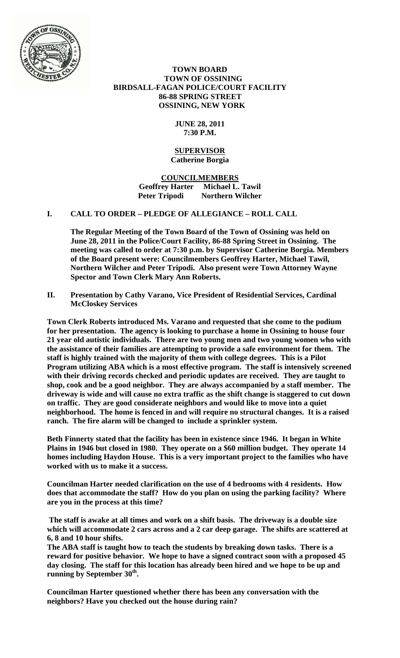

### **TOWN BOARD TOWN OF OSSINING BIRDSALL-FAGAN POLICE/COURT FACILITY 86-88 SPRING STREET OSSINING, NEW YORK**

### **JUNE 28, 2011 7:30 P.M.**

#### **SUPERVISOR Catherine Borgia**

**COUNCILMEMBERS Geoffrey Harter Michael L. Tawil Northern Wilcher** 

# **I. CALL TO ORDER – PLEDGE OF ALLEGIANCE – ROLL CALL**

**The Regular Meeting of the Town Board of the Town of Ossining was held on June 28, 2011 in the Police/Court Facility, 86-88 Spring Street in Ossining. The meeting was called to order at 7:30 p.m. by Supervisor Catherine Borgia. Members of the Board present were: Councilmembers Geoffrey Harter, Michael Tawil, Northern Wilcher and Peter Tripodi. Also present were Town Attorney Wayne Spector and Town Clerk Mary Ann Roberts.** 

**II. Presentation by Cathy Varano, Vice President of Residential Services, Cardinal McCloskey Services** 

**Town Clerk Roberts introduced Ms. Varano and requested that she come to the podium for her presentation. The agency is looking to purchase a home in Ossining to house four 21 year old autistic individuals. There are two young men and two young women who with the assistance of their families are attempting to provide a safe environment for them. The staff is highly trained with the majority of them with college degrees. This is a Pilot Program utilizing ABA which is a most effective program. The staff is intensively screened with their driving records checked and periodic updates are received. They are taught to shop, cook and be a good neighbor. They are always accompanied by a staff member. The driveway is wide and will cause no extra traffic as the shift change is staggered to cut down on traffic. They are good considerate neighbors and would like to move into a quiet neighborhood. The home is fenced in and will require no structural changes. It is a raised ranch. The fire alarm will be changed to include a sprinkler system.** 

**Beth Finnerty stated that the facility has been in existence since 1946. It began in White Plains in 1946 but closed in 1980. They operate on a \$60 million budget. They operate 14 homes including Haydon House. This is a very important project to the families who have worked with us to make it a success.** 

**Councilman Harter needed clarification on the use of 4 bedrooms with 4 residents. How does that accommodate the staff? How do you plan on using the parking facility? Where are you in the process at this time?** 

 **The staff is awake at all times and work on a shift basis. The driveway is a double size which will accommodate 2 cars across and a 2 car deep garage. The shifts are scattered at 6, 8 and 10 hour shifts.** 

**The ABA staff is taught how to teach the students by breaking down tasks. There is a reward for positive behavior. We hope to have a signed contract soon with a proposed 45 day closing. The staff for this location has already been hired and we hope to be up and**  running by September 30<sup>th</sup>.

**Councilman Harter questioned whether there has been any conversation with the neighbors? Have you checked out the house during rain?**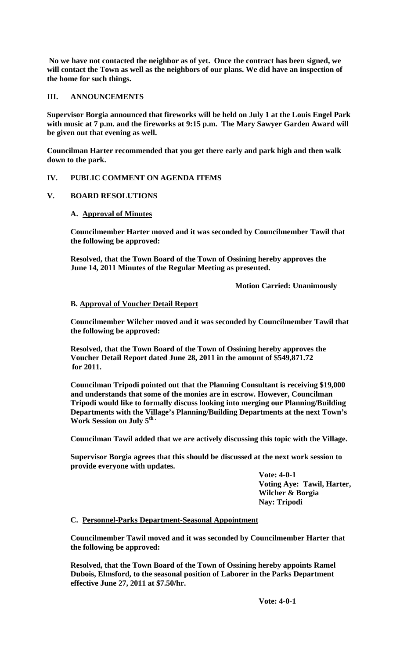**No we have not contacted the neighbor as of yet. Once the contract has been signed, we will contact the Town as well as the neighbors of our plans. We did have an inspection of the home for such things.** 

### **III. ANNOUNCEMENTS**

**Supervisor Borgia announced that fireworks will be held on July 1 at the Louis Engel Park with music at 7 p.m. and the fireworks at 9:15 p.m. The Mary Sawyer Garden Award will be given out that evening as well.** 

**Councilman Harter recommended that you get there early and park high and then walk down to the park.** 

# **IV. PUBLIC COMMENT ON AGENDA ITEMS**

### **V. BOARD RESOLUTIONS**

# **A. Approval of Minutes**

**Councilmember Harter moved and it was seconded by Councilmember Tawil that the following be approved:** 

**Resolved, that the Town Board of the Town of Ossining hereby approves the June 14, 2011 Minutes of the Regular Meeting as presented.** 

 **Motion Carried: Unanimously** 

### **B. Approval of Voucher Detail Report**

**Councilmember Wilcher moved and it was seconded by Councilmember Tawil that the following be approved:** 

**Resolved, that the Town Board of the Town of Ossining hereby approves the Voucher Detail Report dated June 28, 2011 in the amount of \$549,871.72 for 2011.** 

**Councilman Tripodi pointed out that the Planning Consultant is receiving \$19,000 and understands that some of the monies are in escrow. However, Councilman Tripodi would like to formally discuss looking into merging our Planning/Building Departments with the Village's Planning/Building Departments at the next Town's**  Work Session on July 5<sup>th</sup> ·

**Councilman Tawil added that we are actively discussing this topic with the Village.** 

**Supervisor Borgia agrees that this should be discussed at the next work session to provide everyone with updates.** 

> **Vote: 4-0-1 Voting Aye: Tawil, Harter, Wilcher & Borgia Nay: Tripodi**

### **C. Personnel-Parks Department-Seasonal Appointment**

**Councilmember Tawil moved and it was seconded by Councilmember Harter that the following be approved:** 

**Resolved, that the Town Board of the Town of Ossining hereby appoints Ramel Dubois, Elmsford, to the seasonal position of Laborer in the Parks Department effective June 27, 2011 at \$7.50/hr.**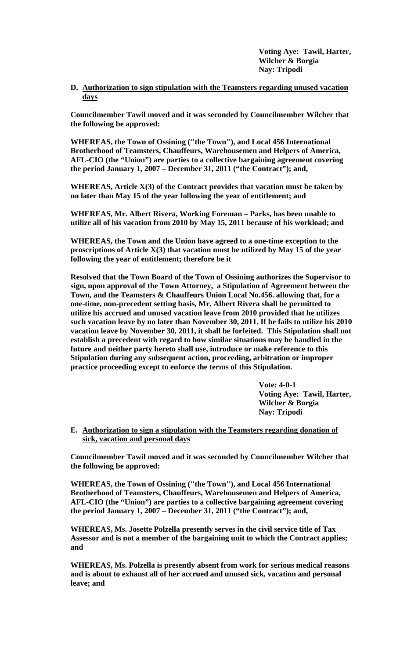**Voting Aye: Tawil, Harter, Wilcher & Borgia Nay: Tripodi** 

**D. Authorization to sign stipulation with the Teamsters regarding unused vacation days**

**Councilmember Tawil moved and it was seconded by Councilmember Wilcher that the following be approved:** 

**WHEREAS, the Town of Ossining ("the Town"), and Local 456 International Brotherhood of Teamsters, Chauffeurs, Warehousemen and Helpers of America, AFL-CIO (the "Union") are parties to a collective bargaining agreement covering the period January 1, 2007 – December 31, 2011 ("the Contract"); and,** 

**WHEREAS, Article X(3) of the Contract provides that vacation must be taken by no later than May 15 of the year following the year of entitlement; and** 

**WHEREAS, Mr. Albert Rivera, Working Foreman – Parks, has been unable to utilize all of his vacation from 2010 by May 15, 2011 because of his workload; and** 

**WHEREAS, the Town and the Union have agreed to a one-time exception to the proscriptions of Article X(3) that vacation must be utilized by May 15 of the year following the year of entitlement; therefore be it** 

**Resolved that the Town Board of the Town of Ossining authorizes the Supervisor to sign, upon approval of the Town Attorney, a Stipulation of Agreement between the Town, and the Teamsters & Chauffeurs Union Local No.456. allowing that, for a one-time, non-precedent setting basis, Mr. Albert Rivera shall be permitted to utilize his accrued and unused vacation leave from 2010 provided that he utilizes such vacation leave by no later than November 30, 2011. If he fails to utilize his 2010 vacation leave by November 30, 2011, it shall be forfeited. This Stipulation shall not establish a precedent with regard to how similar situations may be handled in the future and neither party hereto shall use, introduce or make reference to this Stipulation during any subsequent action, proceeding, arbitration or improper practice proceeding except to enforce the terms of this Stipulation.** 

> **Vote: 4-0-1 Voting Aye: Tawil, Harter, Wilcher & Borgia Nay: Tripodi**

**E. Authorization to sign a stipulation with the Teamsters regarding donation of sick, vacation and personal days**

**Councilmember Tawil moved and it was seconded by Councilmember Wilcher that the following be approved:** 

**WHEREAS, the Town of Ossining ("the Town"), and Local 456 International Brotherhood of Teamsters, Chauffeurs, Warehousemen and Helpers of America, AFL-CIO (the "Union") are parties to a collective bargaining agreement covering the period January 1, 2007 – December 31, 2011 ("the Contract"); and,** 

**WHEREAS, Ms. Josette Polzella presently serves in the civil service title of Tax Assessor and is not a member of the bargaining unit to which the Contract applies; and** 

**WHEREAS, Ms. Polzella is presently absent from work for serious medical reasons and is about to exhaust all of her accrued and unused sick, vacation and personal leave; and**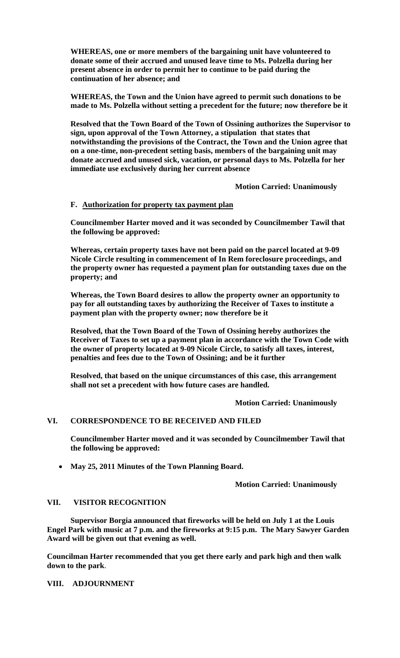**WHEREAS, one or more members of the bargaining unit have volunteered to donate some of their accrued and unused leave time to Ms. Polzella during her present absence in order to permit her to continue to be paid during the continuation of her absence; and** 

**WHEREAS, the Town and the Union have agreed to permit such donations to be made to Ms. Polzella without setting a precedent for the future; now therefore be it** 

**Resolved that the Town Board of the Town of Ossining authorizes the Supervisor to sign, upon approval of the Town Attorney, a stipulation that states that notwithstanding the provisions of the Contract, the Town and the Union agree that on a one-time, non-precedent setting basis, members of the bargaining unit may donate accrued and unused sick, vacation, or personal days to Ms. Polzella for her immediate use exclusively during her current absence** 

 **Motion Carried: Unanimously** 

### **F. Authorization for property tax payment plan**

**Councilmember Harter moved and it was seconded by Councilmember Tawil that the following be approved:** 

**Whereas, certain property taxes have not been paid on the parcel located at 9-09 Nicole Circle resulting in commencement of In Rem foreclosure proceedings, and the property owner has requested a payment plan for outstanding taxes due on the property; and** 

**Whereas, the Town Board desires to allow the property owner an opportunity to pay for all outstanding taxes by authorizing the Receiver of Taxes to institute a payment plan with the property owner; now therefore be it** 

**Resolved, that the Town Board of the Town of Ossining hereby authorizes the Receiver of Taxes to set up a payment plan in accordance with the Town Code with the owner of property located at 9-09 Nicole Circle, to satisfy all taxes, interest, penalties and fees due to the Town of Ossining; and be it further** 

**Resolved, that based on the unique circumstances of this case, this arrangement shall not set a precedent with how future cases are handled.** 

 **Motion Carried: Unanimously** 

#### **VI. CORRESPONDENCE TO BE RECEIVED AND FILED**

**Councilmember Harter moved and it was seconded by Councilmember Tawil that the following be approved:** 

**May 25, 2011 Minutes of the Town Planning Board.** 

**Motion Carried: Unanimously** 

### **VII. VISITOR RECOGNITION**

 **Supervisor Borgia announced that fireworks will be held on July 1 at the Louis Engel Park with music at 7 p.m. and the fireworks at 9:15 p.m. The Mary Sawyer Garden Award will be given out that evening as well.** 

**Councilman Harter recommended that you get there early and park high and then walk down to the park**.

**VIII. ADJOURNMENT**